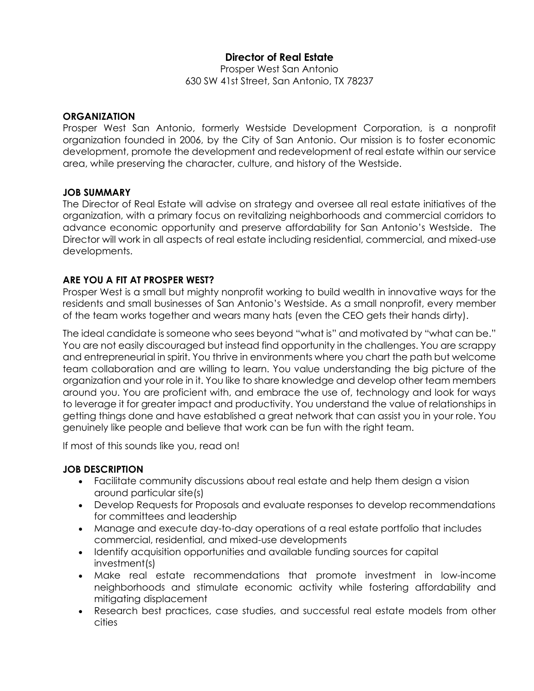# **Director of Real Estate**

Prosper West San Antonio 630 SW 41st Street, San Antonio, TX 78237

#### **ORGANIZATION**

Prosper West San Antonio, formerly Westside Development Corporation, is a nonprofit organization founded in 2006, by the City of San Antonio. Our mission is to foster economic development, promote the development and redevelopment of real estate within our service area, while preserving the character, culture, and history of the Westside.

#### **JOB SUMMARY**

The Director of Real Estate will advise on strategy and oversee all real estate initiatives of the organization, with a primary focus on revitalizing neighborhoods and commercial corridors to advance economic opportunity and preserve affordability for San Antonio's Westside. The Director will work in all aspects of real estate including residential, commercial, and mixed-use developments.

#### **ARE YOU A FIT AT PROSPER WEST?**

Prosper West is a small but mighty nonprofit working to build wealth in innovative ways for the residents and small businesses of San Antonio's Westside. As a small nonprofit, every member of the team works together and wears many hats (even the CEO gets their hands dirty).

The ideal candidate is someone who sees beyond "what is" and motivated by "what can be." You are not easily discouraged but instead find opportunity in the challenges. You are scrappy and entrepreneurial in spirit. You thrive in environments where you chart the path but welcome team collaboration and are willing to learn. You value understanding the big picture of the organization and your role in it. You like to share knowledge and develop other team members around you. You are proficient with, and embrace the use of, technology and look for ways to leverage it for greater impact and productivity. You understand the value of relationships in getting things done and have established a great network that can assist you in your role. You genuinely like people and believe that work can be fun with the right team.

If most of this sounds like you, read on!

#### **JOB DESCRIPTION**

- Facilitate community discussions about real estate and help them design a vision around particular site(s)
- Develop Requests for Proposals and evaluate responses to develop recommendations for committees and leadership
- Manage and execute day-to-day operations of a real estate portfolio that includes commercial, residential, and mixed-use developments
- Identify acquisition opportunities and available funding sources for capital investment(s)
- Make real estate recommendations that promote investment in low-income neighborhoods and stimulate economic activity while fostering affordability and mitigating displacement
- Research best practices, case studies, and successful real estate models from other cities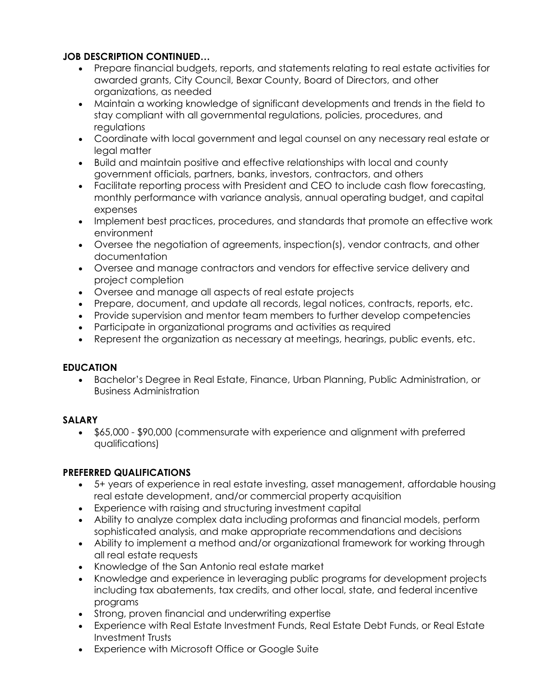## **JOB DESCRIPTION CONTINUED…**

- Prepare financial budgets, reports, and statements relating to real estate activities for awarded grants, City Council, Bexar County, Board of Directors, and other organizations, as needed
- Maintain a working knowledge of significant developments and trends in the field to stay compliant with all governmental regulations, policies, procedures, and regulations
- Coordinate with local government and legal counsel on any necessary real estate or legal matter
- Build and maintain positive and effective relationships with local and county government officials, partners, banks, investors, contractors, and others
- Facilitate reporting process with President and CEO to include cash flow forecasting, monthly performance with variance analysis, annual operating budget, and capital expenses
- Implement best practices, procedures, and standards that promote an effective work environment
- Oversee the negotiation of agreements, inspection(s), vendor contracts, and other documentation
- Oversee and manage contractors and vendors for effective service delivery and project completion
- Oversee and manage all aspects of real estate projects
- Prepare, document, and update all records, legal notices, contracts, reports, etc.
- Provide supervision and mentor team members to further develop competencies
- Participate in organizational programs and activities as required
- Represent the organization as necessary at meetings, hearings, public events, etc.

## **EDUCATION**

• Bachelor's Degree in Real Estate, Finance, Urban Planning, Public Administration, or Business Administration

## **SALARY**

• \$65,000 - \$90,000 (commensurate with experience and alignment with preferred qualifications)

## **PREFERRED QUALIFICATIONS**

- 5+ years of experience in real estate investing, asset management, affordable housing real estate development, and/or commercial property acquisition
- Experience with raising and structuring investment capital
- Ability to analyze complex data including proformas and financial models, perform sophisticated analysis, and make appropriate recommendations and decisions
- Ability to implement a method and/or organizational framework for working through all real estate requests
- Knowledge of the San Antonio real estate market
- Knowledge and experience in leveraging public programs for development projects including tax abatements, tax credits, and other local, state, and federal incentive programs
- Strong, proven financial and underwriting expertise
- Experience with Real Estate Investment Funds, Real Estate Debt Funds, or Real Estate Investment Trusts
- Experience with Microsoft Office or Google Suite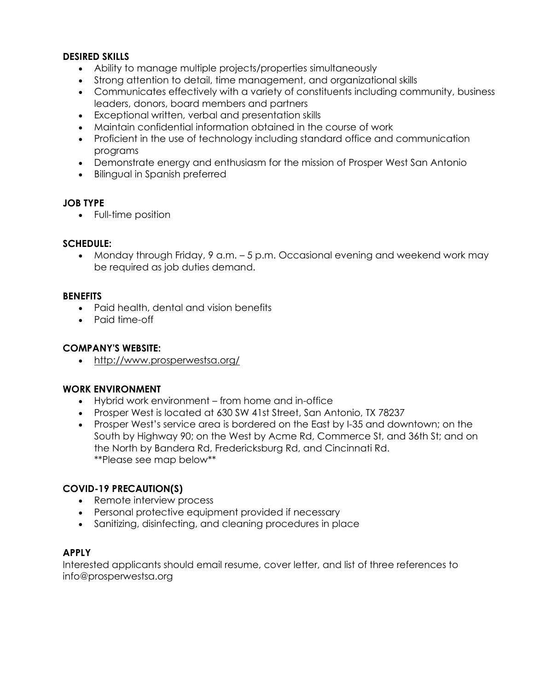#### **DESIRED SKILLS**

- Ability to manage multiple projects/properties simultaneously
- Strong attention to detail, time management, and organizational skills
- Communicates effectively with a variety of constituents including community, business leaders, donors, board members and partners
- Exceptional written, verbal and presentation skills
- Maintain confidential information obtained in the course of work
- Proficient in the use of technology including standard office and communication programs
- Demonstrate energy and enthusiasm for the mission of Prosper West San Antonio
- Bilingual in Spanish preferred

### **JOB TYPE**

• Full-time position

### **SCHEDULE:**

• Monday through Friday, 9 a.m. – 5 p.m. Occasional evening and weekend work may be required as job duties demand.

### **BENEFITS**

- Paid health, dental and vision benefits
- Paid time-off

## **COMPANY'S WEBSITE:**

• <http://www.prosperwestsa.org/>

#### **WORK ENVIRONMENT**

- Hybrid work environment from home and in-office
- Prosper West is located at 630 SW 41st Street, San Antonio, TX 78237
- Prosper West's service area is bordered on the East by I-35 and downtown; on the South by Highway 90; on the West by Acme Rd, Commerce St, and 36th St; and on the North by Bandera Rd, Fredericksburg Rd, and Cincinnati Rd. \*\*Please see map below\*\*

#### **COVID-19 PRECAUTION(S)**

- Remote interview process
- Personal protective equipment provided if necessary
- Sanitizing, disinfecting, and cleaning procedures in place

#### **APPLY**

Interested applicants should email resume, cover letter, and list of three references to info@prosperwestsa.org